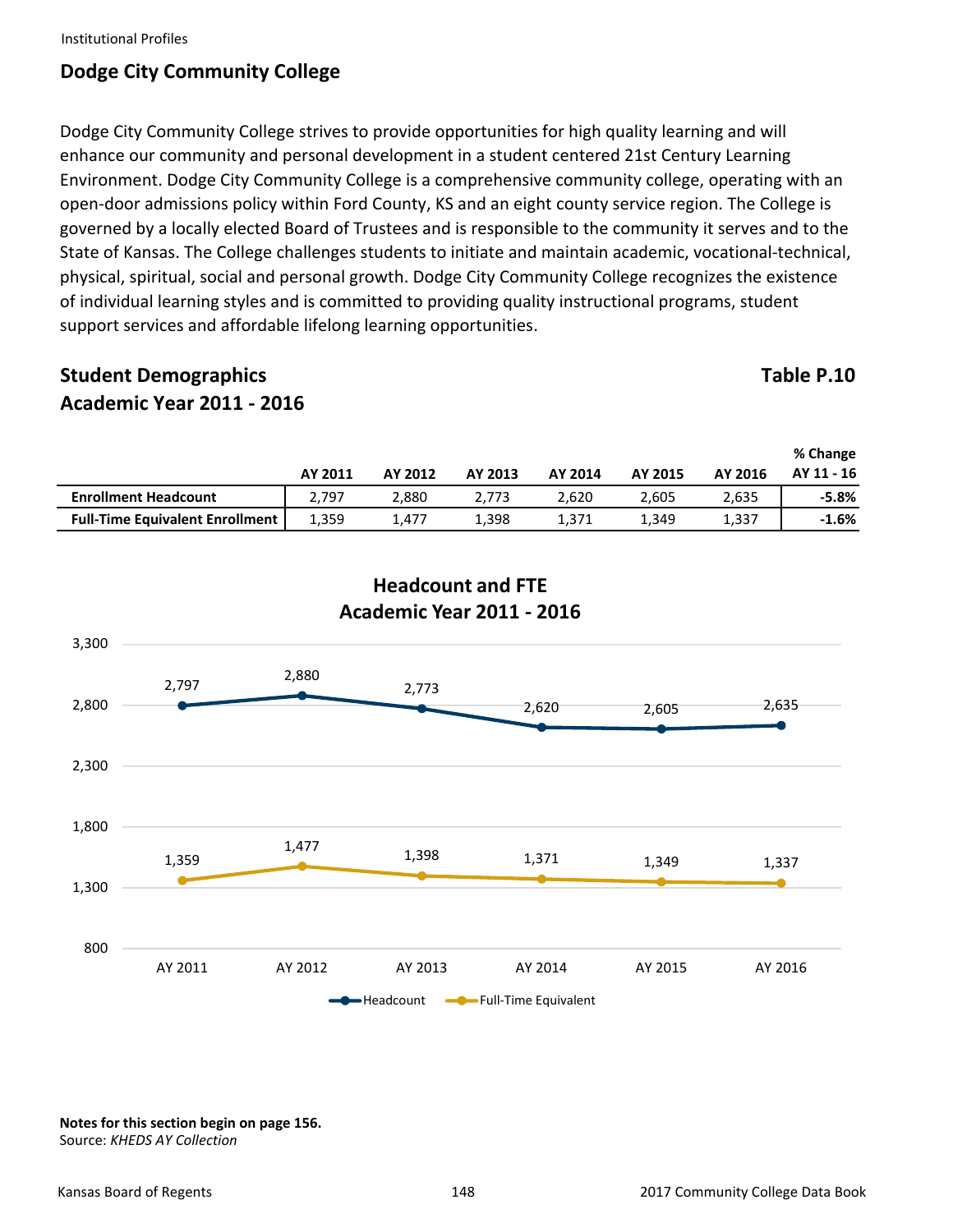# **Dodge City Community College**

Dodge City Community College strives to provide opportunities for high quality learning and will enhance our community and personal development in a student centered 21st Century Learning Environment. Dodge City Community College is a comprehensive community college, operating with an open‐door admissions policy within Ford County, KS and an eight county service region. The College is governed by a locally elected Board of Trustees and is responsible to the community it serves and to the State of Kansas. The College challenges students to initiate and maintain academic, vocational‐technical, physical, spiritual, social and personal growth. Dodge City Community College recognizes the existence of individual learning styles and is committed to providing quality instructional programs, student support services and affordable lifelong learning opportunities.

# **Student Demographics** Table P.10 **Academic Year 2011 ‐ 2016**

|                                        | AY 2011 | AY 2012 | AY 2013 | AY 2014 | AY 2015 | AY 2016 | % Change<br>AY 11 - 16 |
|----------------------------------------|---------|---------|---------|---------|---------|---------|------------------------|
| <b>Enrollment Headcount</b>            | 2.797   | 2.880   | 2.773   | 2.620   | 2.605   | 2.635   | $-5.8%$                |
| <b>Full-Time Equivalent Enrollment</b> | 1,359   | 1,477   | 1,398   | 1,371   | 1,349   | 1,337   | $-1.6%$                |



## **Headcount and FTE Academic Year 2011 ‐ 2016**

**Notes for this section begin on page 156.**  Source: *KHEDS AY Collection*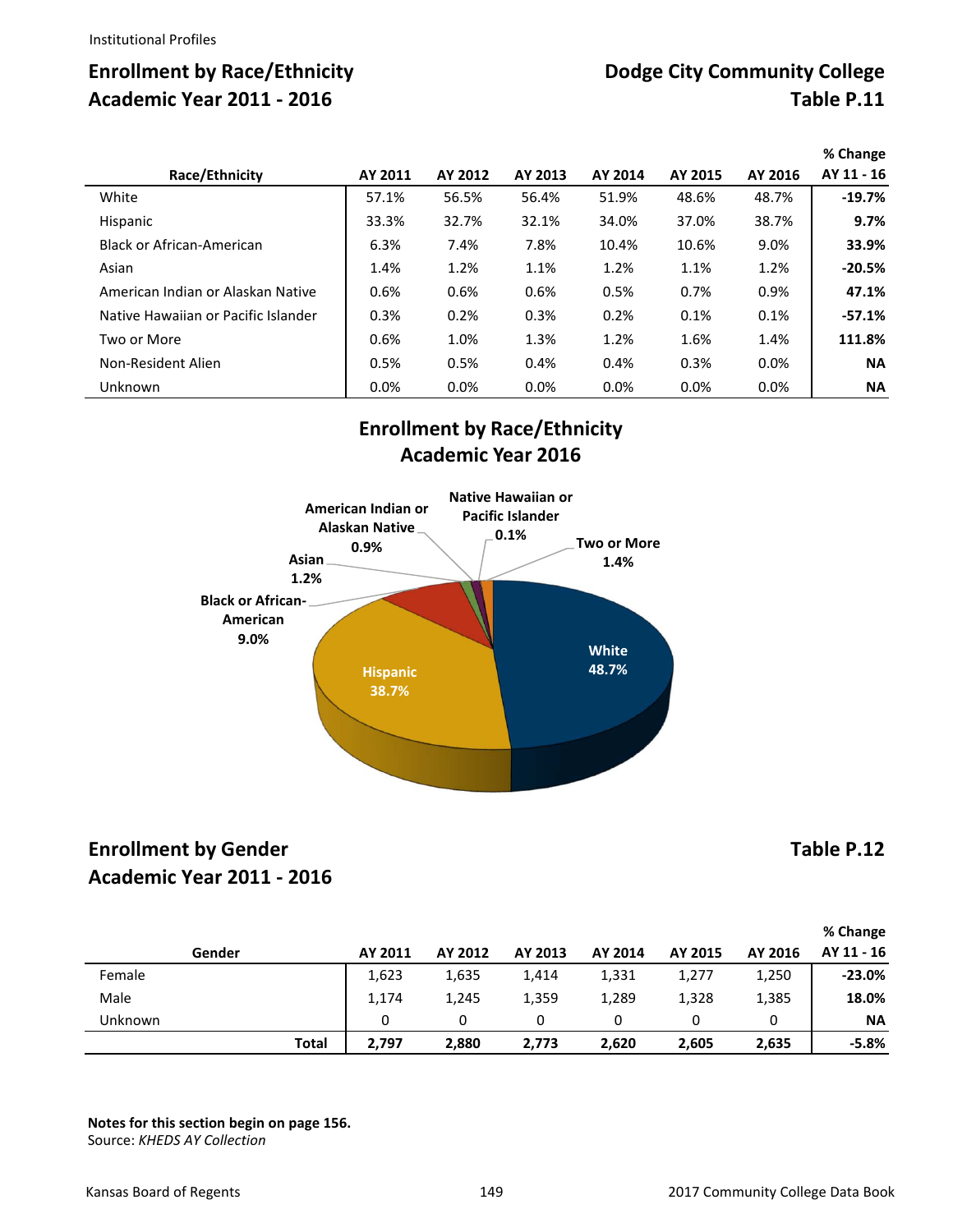|                                     |         |         |         |         |         |         | % Change   |
|-------------------------------------|---------|---------|---------|---------|---------|---------|------------|
| Race/Ethnicity                      | AY 2011 | AY 2012 | AY 2013 | AY 2014 | AY 2015 | AY 2016 | AY 11 - 16 |
| White                               | 57.1%   | 56.5%   | 56.4%   | 51.9%   | 48.6%   | 48.7%   | $-19.7%$   |
| Hispanic                            | 33.3%   | 32.7%   | 32.1%   | 34.0%   | 37.0%   | 38.7%   | 9.7%       |
| <b>Black or African-American</b>    | 6.3%    | 7.4%    | 7.8%    | 10.4%   | 10.6%   | 9.0%    | 33.9%      |
| Asian                               | 1.4%    | 1.2%    | 1.1%    | 1.2%    | 1.1%    | 1.2%    | $-20.5%$   |
| American Indian or Alaskan Native   | 0.6%    | 0.6%    | 0.6%    | 0.5%    | 0.7%    | 0.9%    | 47.1%      |
| Native Hawaiian or Pacific Islander | 0.3%    | 0.2%    | 0.3%    | 0.2%    | 0.1%    | 0.1%    | $-57.1%$   |
| Two or More                         | 0.6%    | 1.0%    | 1.3%    | 1.2%    | 1.6%    | 1.4%    | 111.8%     |
| Non-Resident Alien                  | 0.5%    | 0.5%    | 0.4%    | 0.4%    | 0.3%    | 0.0%    | <b>NA</b>  |
| Unknown                             | 0.0%    | 0.0%    | 0.0%    | 0.0%    | 0.0%    | 0.0%    | <b>NA</b>  |

# **Enrollment by Race/Ethnicity Academic Year 2016**



# **Enrollment by Gender Table P.12 Academic Year 2011 ‐ 2016**

**Gender AY 2011 AY 2012 AY 2013 AY 2014 AY 2015 AY 2016 % Change AY 11 ‐ 16** Female 1,623 1,635 1,414 1,331 1,277 1,250 **‐23.0%** Male 1,174 1,245 1,359 1,289 1,328 1,385 **18.0%** Unknown 0 0 0 0 0 0 **NA**

**Total 2,797 2,880 2,773 2,620 2,605 2,635 ‐5.8%**

**Notes for this section begin on page 156.**  Source: *KHEDS AY Collection*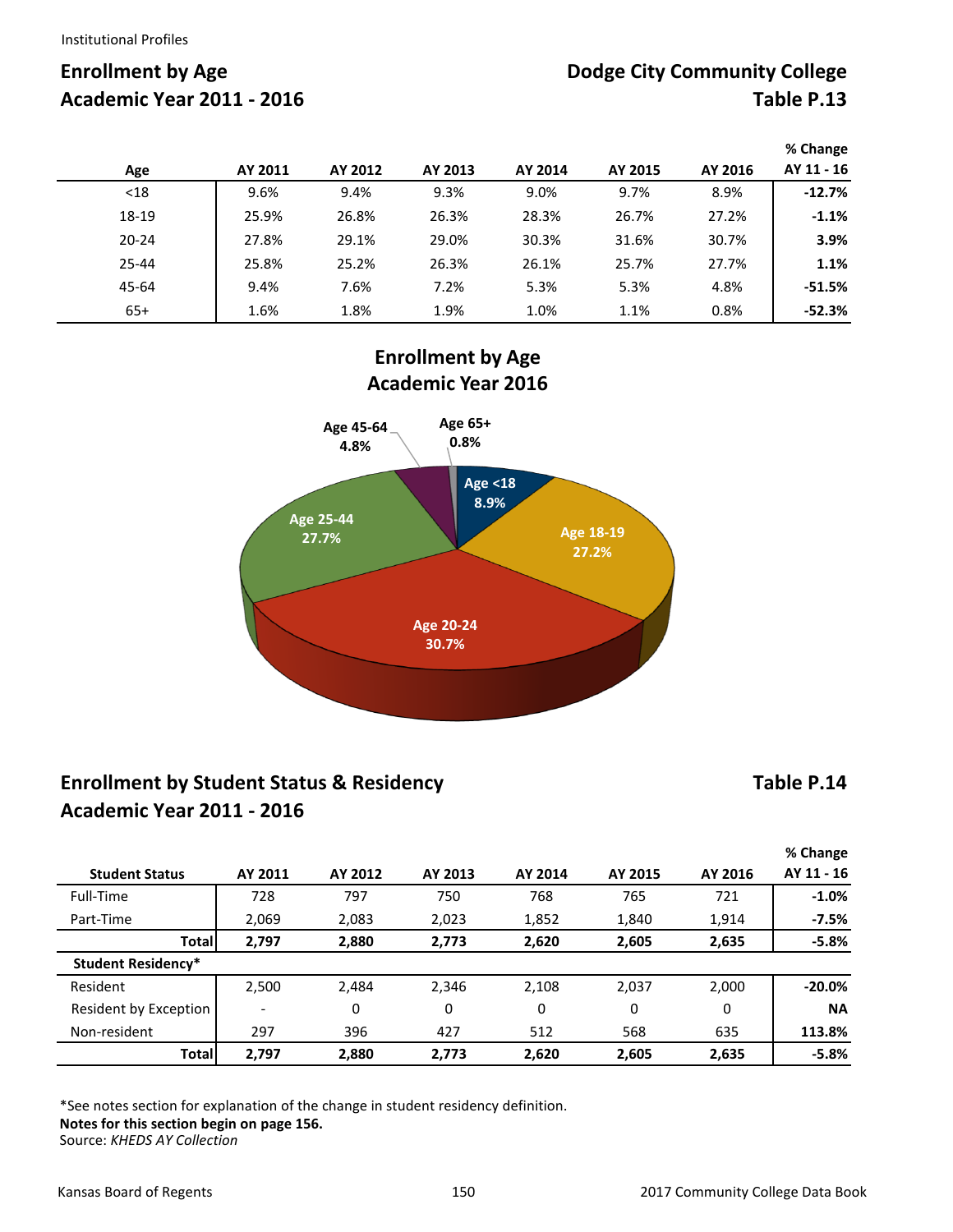|           |         |         |         |         |         |         | % Change   |
|-----------|---------|---------|---------|---------|---------|---------|------------|
| Age       | AY 2011 | AY 2012 | AY 2013 | AY 2014 | AY 2015 | AY 2016 | AY 11 - 16 |
| $18$      | 9.6%    | 9.4%    | 9.3%    | 9.0%    | 9.7%    | 8.9%    | $-12.7%$   |
| 18-19     | 25.9%   | 26.8%   | 26.3%   | 28.3%   | 26.7%   | 27.2%   | $-1.1%$    |
| $20 - 24$ | 27.8%   | 29.1%   | 29.0%   | 30.3%   | 31.6%   | 30.7%   | 3.9%       |
| $25 - 44$ | 25.8%   | 25.2%   | 26.3%   | 26.1%   | 25.7%   | 27.7%   | 1.1%       |
| 45-64     | 9.4%    | 7.6%    | 7.2%    | 5.3%    | 5.3%    | 4.8%    | $-51.5%$   |
| $65+$     | 1.6%    | 1.8%    | 1.9%    | 1.0%    | 1.1%    | 0.8%    | $-52.3%$   |

**Enrollment by Age Academic Year 2016**



# **Enrollment by Student Status & Residency Academic Year 2011 ‐ 2016**

## **Table P.14**

|                           |                          |         |         |         |         |         | % Change   |  |  |  |
|---------------------------|--------------------------|---------|---------|---------|---------|---------|------------|--|--|--|
| <b>Student Status</b>     | AY 2011                  | AY 2012 | AY 2013 | AY 2014 | AY 2015 | AY 2016 | AY 11 - 16 |  |  |  |
| Full-Time                 | 728                      | 797     | 750     | 768     | 765     | 721     | $-1.0%$    |  |  |  |
| Part-Time                 | 2,069                    | 2,083   | 2,023   | 1,852   | 1,840   | 1,914   | $-7.5%$    |  |  |  |
| <b>Total</b>              | 2,797                    | 2,880   | 2,773   | 2,620   | 2,605   | 2,635   | $-5.8%$    |  |  |  |
| <b>Student Residency*</b> |                          |         |         |         |         |         |            |  |  |  |
| Resident                  | 2,500                    | 2,484   | 2,346   | 2,108   | 2,037   | 2,000   | $-20.0%$   |  |  |  |
| Resident by Exception     | $\overline{\phantom{0}}$ | 0       | 0       | 0       | 0       | 0       | <b>NA</b>  |  |  |  |
| Non-resident              | 297                      | 396     | 427     | 512     | 568     | 635     | 113.8%     |  |  |  |
| <b>Total</b>              | 2,797                    | 2,880   | 2,773   | 2,620   | 2,605   | 2,635   | $-5.8%$    |  |  |  |

\*See notes section for explanation of the change in student residency definition. **Notes for this section begin on page 156.**  Source: *KHEDS AY Collection*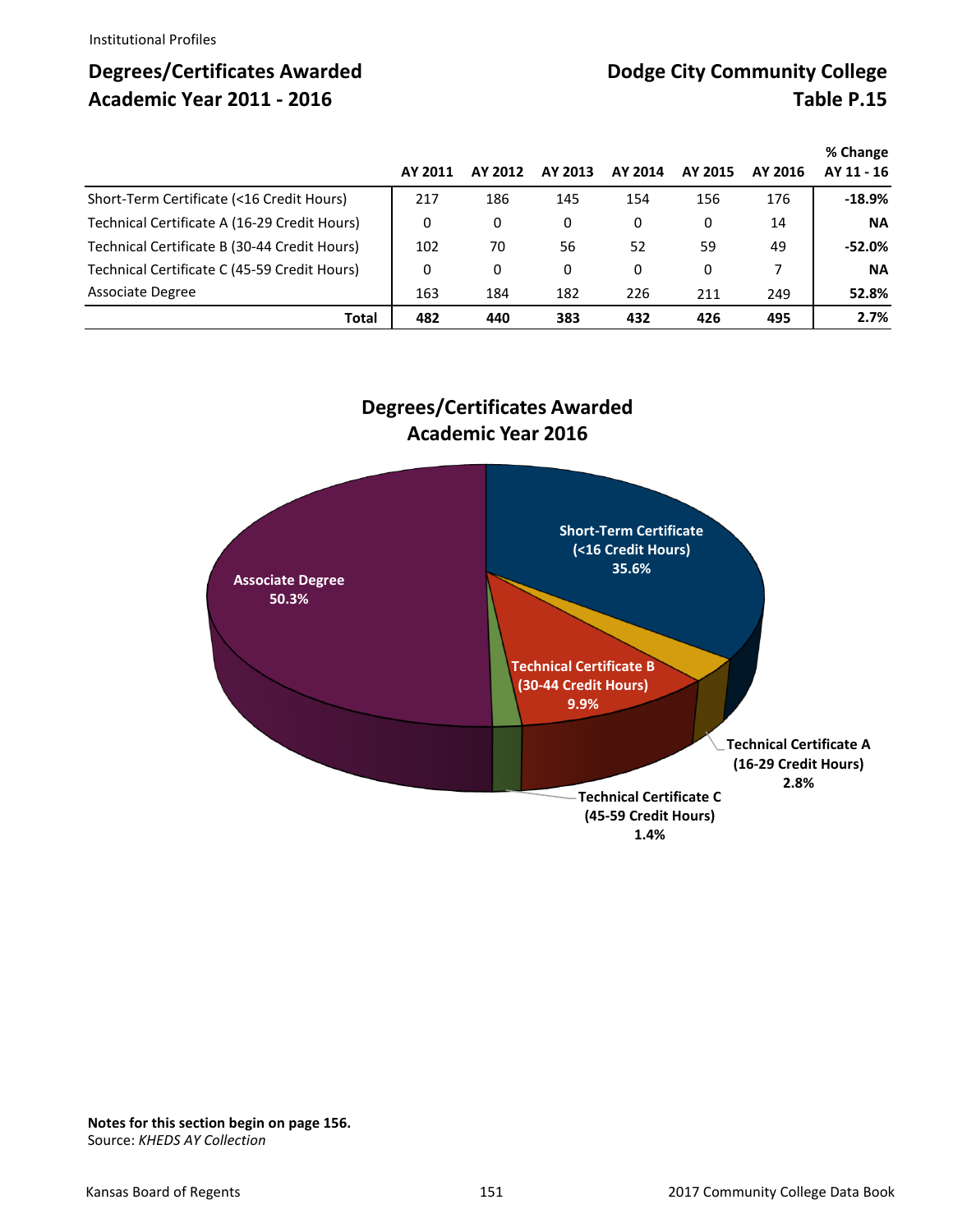# **Degrees/Certificates Awarded Community College City Community College Academic Year 2011 - 2016** Table P.15

|                                              |         |         |         |         |              |         | % Change   |
|----------------------------------------------|---------|---------|---------|---------|--------------|---------|------------|
|                                              | AY 2011 | AY 2012 | AY 2013 | AY 2014 | AY 2015      | AY 2016 | AY 11 - 16 |
| Short-Term Certificate (<16 Credit Hours)    | 217     | 186     | 145     | 154     | 156          | 176     | $-18.9%$   |
| Technical Certificate A (16-29 Credit Hours) | 0       | 0       | 0       | 0       | 0            | 14      | <b>NA</b>  |
| Technical Certificate B (30-44 Credit Hours) | 102     | 70      | 56      | 52      | 59           | 49      | $-52.0\%$  |
| Technical Certificate C (45-59 Credit Hours) | 0       | 0       | 0       | 0       | $\mathbf{0}$ | 7       | <b>NA</b>  |
| Associate Degree                             | 163     | 184     | 182     | 226     | 211          | 249     | 52.8%      |
| Total                                        | 482     | 440     | 383     | 432     | 426          | 495     | 2.7%       |

## **Degrees/Certificates Awarded Academic Year 2016**



**Notes for this section begin on page 156.**  Source: *KHEDS AY Collection*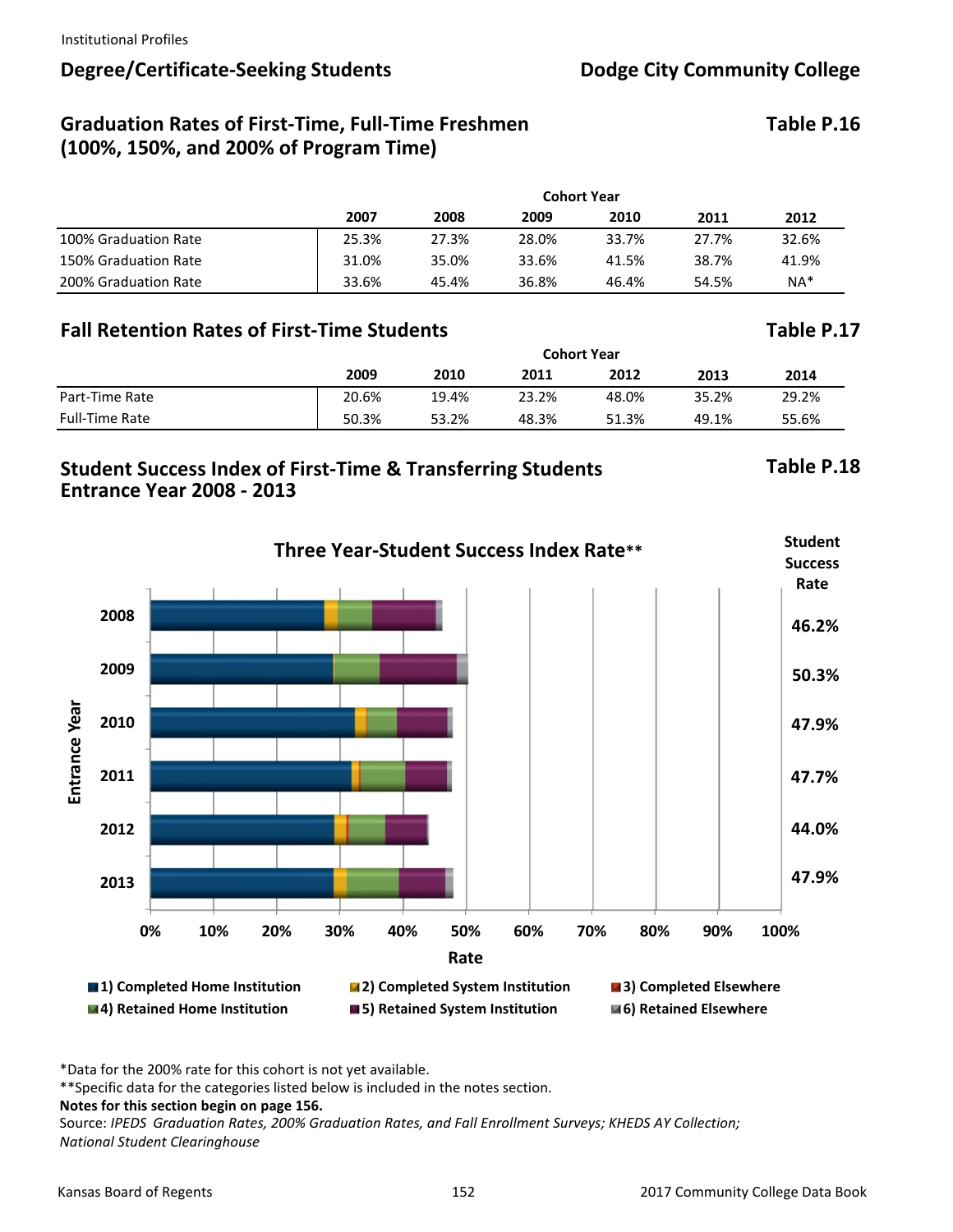# Degree/Certificate-Seeking Students **Dodge City Community College**

# Graduation Rates of First-Time, Full-Time Freshmen Table P.16 **(100%, 150%, and 200% of Program Time)**

|                      | <b>Cohort Year</b> |       |       |       |       |       |  |  |
|----------------------|--------------------|-------|-------|-------|-------|-------|--|--|
|                      | 2007               | 2008  | 2009  | 2010  | 2011  | 2012  |  |  |
| 100% Graduation Rate | 25.3%              | 27.3% | 28.0% | 33.7% | 27.7% | 32.6% |  |  |
| 150% Graduation Rate | 31.0%              | 35.0% | 33.6% | 41.5% | 38.7% | 41.9% |  |  |
| 200% Graduation Rate | 33.6%              | 45.4% | 36.8% | 46.4% | 54.5% | $NA*$ |  |  |

# **Fall Retention Rates of First‐Time Students Table P.17**

|                       | <b>Cohort Year</b> |       |       |       |       |       |  |  |
|-----------------------|--------------------|-------|-------|-------|-------|-------|--|--|
|                       | 2009               | 2010  | 2011  | 2012  | 2013  | 2014  |  |  |
| Part-Time Rate        | 20.6%              | 19.4% | 23.2% | 48.0% | 35.2% | 29.2% |  |  |
| <b>Full-Time Rate</b> | 50.3%              | 53.2% | 48.3% | 51.3% | 49.1% | 55.6% |  |  |

## **Student Success Index of First‐Time & Transferring Students Table P.18 Entrance Year 2008 ‐ 2013**

## **Firme Year-Student Success Index Rate\*\* Student Student Success Rate 2008 46.2% 2009 50.3% Entrance Year** Entrance Year **2010 47.9% 2011 47.7% 2012 44.0% 47.9% 2013 0% 10% 20% 30% 40% 50% 60% 70% 80% 90% 100% Rate 1) Completed Home Institution 2) Completed System Institution 3) Completed Elsewhere 4) Retained Home Institution 5) Retained System Institution 6) Retained Elsewhere**

\*Data for the 200% rate for this cohort is not yet available.

\*\*Specific data for the categories listed below is included in the notes section.

Source: *IPEDS Graduation Rates, 200% Graduation Rates, and Fall Enrollment Surveys; KHEDS AY Collection; National Student Clearinghouse*

**Notes for this section begin on page 156.**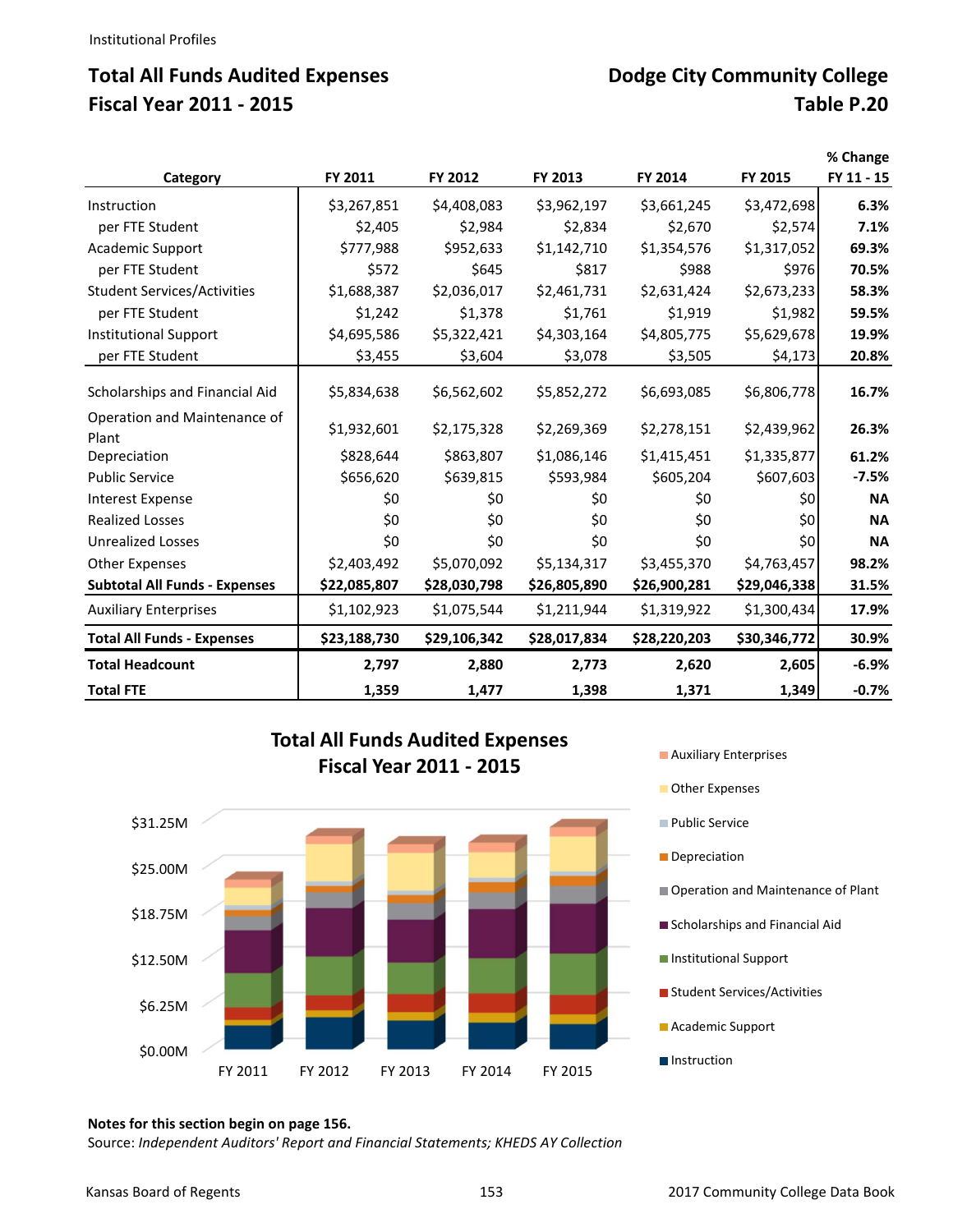# **Total All Funds Audited Expenses Community College City Community College Fiscal Year 2011 ‐ 2015 Table P.20**

|                                       | FY 2011      | FY 2012      | FY 2013      | FY 2014      | FY 2015      | % Change<br>FY 11 - 15 |
|---------------------------------------|--------------|--------------|--------------|--------------|--------------|------------------------|
| Category                              |              |              |              |              |              |                        |
| Instruction                           | \$3,267,851  | \$4,408,083  | \$3,962,197  | \$3,661,245  | \$3,472,698  | 6.3%                   |
| per FTE Student                       | \$2,405      | \$2,984      | \$2,834      | \$2,670      | \$2,574      | 7.1%                   |
| <b>Academic Support</b>               | \$777,988    | \$952,633    | \$1,142,710  | \$1,354,576  | \$1,317,052  | 69.3%                  |
| per FTE Student                       | \$572        | \$645        | \$817        | \$988        | \$976        | 70.5%                  |
| <b>Student Services/Activities</b>    | \$1,688,387  | \$2,036,017  | \$2,461,731  | \$2,631,424  | \$2,673,233  | 58.3%                  |
| per FTE Student                       | \$1,242      | \$1,378      | \$1,761      | \$1,919      | \$1,982      | 59.5%                  |
| <b>Institutional Support</b>          | \$4,695,586  | \$5,322,421  | \$4,303,164  | \$4,805,775  | \$5,629,678  | 19.9%                  |
| per FTE Student                       | \$3,455      | \$3,604      | \$3,078      | \$3,505      | \$4,173      | 20.8%                  |
| Scholarships and Financial Aid        | \$5,834,638  | \$6,562,602  | \$5,852,272  | \$6,693,085  | \$6,806,778  | 16.7%                  |
| Operation and Maintenance of<br>Plant | \$1,932,601  | \$2,175,328  | \$2,269,369  | \$2,278,151  | \$2,439,962  | 26.3%                  |
| Depreciation                          | \$828,644    | \$863,807    | \$1,086,146  | \$1,415,451  | \$1,335,877  | 61.2%                  |
| <b>Public Service</b>                 | \$656,620    | \$639,815    | \$593,984    | \$605,204    | \$607,603    | $-7.5%$                |
| <b>Interest Expense</b>               | \$0          | \$0          | \$0          | \$0          | \$0          | <b>NA</b>              |
| <b>Realized Losses</b>                | \$0          | \$0          | \$0          | \$0          | \$0          | <b>NA</b>              |
| <b>Unrealized Losses</b>              | \$0          | \$0          | \$0          | \$0          | \$0          | <b>NA</b>              |
| <b>Other Expenses</b>                 | \$2,403,492  | \$5,070,092  | \$5,134,317  | \$3,455,370  | \$4,763,457  | 98.2%                  |
| <b>Subtotal All Funds - Expenses</b>  | \$22,085,807 | \$28,030,798 | \$26,805,890 | \$26,900,281 | \$29,046,338 | 31.5%                  |
| <b>Auxiliary Enterprises</b>          | \$1,102,923  | \$1,075,544  | \$1,211,944  | \$1,319,922  | \$1,300,434  | 17.9%                  |
| <b>Total All Funds - Expenses</b>     | \$23,188,730 | \$29,106,342 | \$28,017,834 | \$28,220,203 | \$30,346,772 | 30.9%                  |
| <b>Total Headcount</b>                | 2,797        | 2,880        | 2,773        | 2,620        | 2,605        | $-6.9%$                |
| <b>Total FTE</b>                      | 1,359        | 1,477        | 1,398        | 1,371        | 1,349        | $-0.7%$                |



**Total All Funds Audited Expenses** 

**Other Expenses Public Service** Depreciation Operation and Maintenance of Plant Scholarships and Financial Aid **Institutional Support Student Services/Activities Academic Support Instruction** 

### **Notes for this section begin on page 156.**

Source: *Independent Auditors' Report and Financial Statements; KHEDS AY Collection*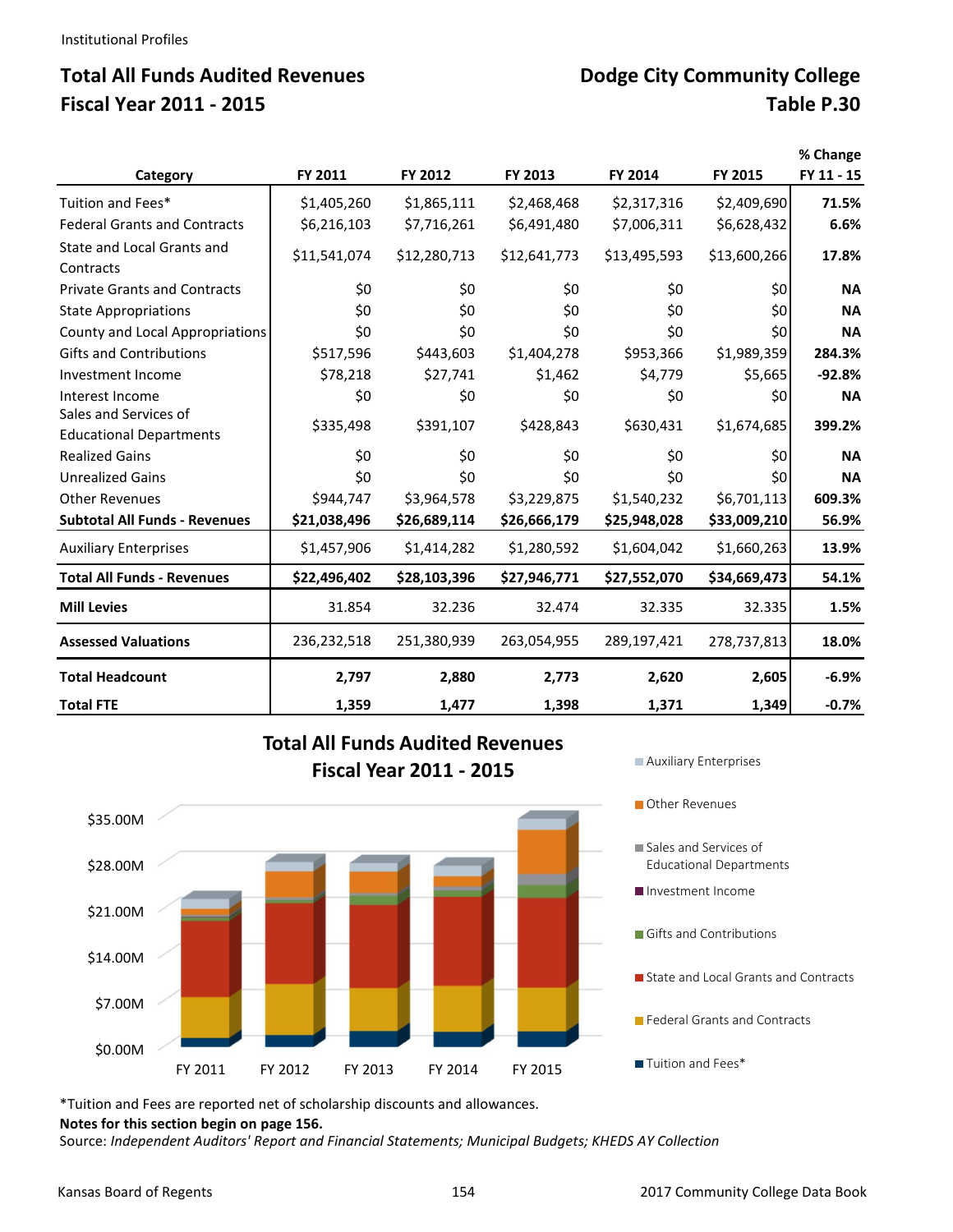# **Total All Funds Audited Revenues**  Dodge City Community College **Fiscal Year 2011 ‐ 2015 Table P.30**

| Category                                                | FY 2011      | FY 2012      | FY 2013      | FY 2014      | FY 2015      | % Change<br>FY 11 - 15 |
|---------------------------------------------------------|--------------|--------------|--------------|--------------|--------------|------------------------|
| Tuition and Fees*                                       | \$1,405,260  | \$1,865,111  | \$2,468,468  | \$2,317,316  | \$2,409,690  | 71.5%                  |
| <b>Federal Grants and Contracts</b>                     | \$6,216,103  | \$7,716,261  | \$6,491,480  | \$7,006,311  | \$6,628,432  | 6.6%                   |
| State and Local Grants and<br>Contracts                 | \$11,541,074 | \$12,280,713 | \$12,641,773 | \$13,495,593 | \$13,600,266 | 17.8%                  |
| <b>Private Grants and Contracts</b>                     | \$0          | \$0          | \$0          | \$0          | \$0          | <b>NA</b>              |
| <b>State Appropriations</b>                             | \$0          | \$0          | \$0          | \$0          | \$0          | <b>NA</b>              |
| County and Local Appropriations                         | \$0          | \$0          | \$0          | \$0          | \$0          | <b>NA</b>              |
| <b>Gifts and Contributions</b>                          | \$517,596    | \$443,603    | \$1,404,278  | \$953,366    | \$1,989,359  | 284.3%                 |
| Investment Income                                       | \$78,218     | \$27,741     | \$1,462      | \$4,779      | \$5,665      | $-92.8%$               |
| Interest Income                                         | \$0          | \$0          | \$0          | \$0          | \$0          | <b>NA</b>              |
| Sales and Services of<br><b>Educational Departments</b> | \$335,498    | \$391,107    | \$428,843    | \$630,431    | \$1,674,685  | 399.2%                 |
| <b>Realized Gains</b>                                   | \$0          | \$0          | \$0          | \$0          | \$0          | <b>NA</b>              |
| <b>Unrealized Gains</b>                                 | \$0          | \$0          | \$0          | \$0          | \$0          | <b>NA</b>              |
| <b>Other Revenues</b>                                   | \$944,747    | \$3,964,578  | \$3,229,875  | \$1,540,232  | \$6,701,113  | 609.3%                 |
| <b>Subtotal All Funds - Revenues</b>                    | \$21,038,496 | \$26,689,114 | \$26,666,179 | \$25,948,028 | \$33,009,210 | 56.9%                  |
| <b>Auxiliary Enterprises</b>                            | \$1,457,906  | \$1,414,282  | \$1,280,592  | \$1,604,042  | \$1,660,263  | 13.9%                  |
| <b>Total All Funds - Revenues</b>                       | \$22,496,402 | \$28,103,396 | \$27,946,771 | \$27,552,070 | \$34,669,473 | 54.1%                  |
| <b>Mill Levies</b>                                      | 31.854       | 32.236       | 32.474       | 32.335       | 32.335       | 1.5%                   |
| <b>Assessed Valuations</b>                              | 236,232,518  | 251,380,939  | 263,054,955  | 289,197,421  | 278,737,813  | 18.0%                  |
| <b>Total Headcount</b>                                  | 2,797        | 2,880        | 2,773        | 2,620        | 2,605        | $-6.9%$                |
| <b>Total FTE</b>                                        | 1,359        | 1,477        | 1,398        | 1,371        | 1,349        | $-0.7%$                |

# **Total All Funds Audited Revenues Fiscal Year 2011 - 2015** Auxiliary Enterprises



**Other Revenues** 

Sales and Services of Educational Departments

Investment Income

- Gifts and Contributions
- State and Local Grants and Contracts
- **Federal Grants and Contracts**

**Tuition and Fees\*** 

\*Tuition and Fees are reported net of scholarship discounts and allowances.

**Notes for this section begin on page 156.** 

Source: *Independent Auditors' Report and Financial Statements; Municipal Budgets; KHEDS AY Collection*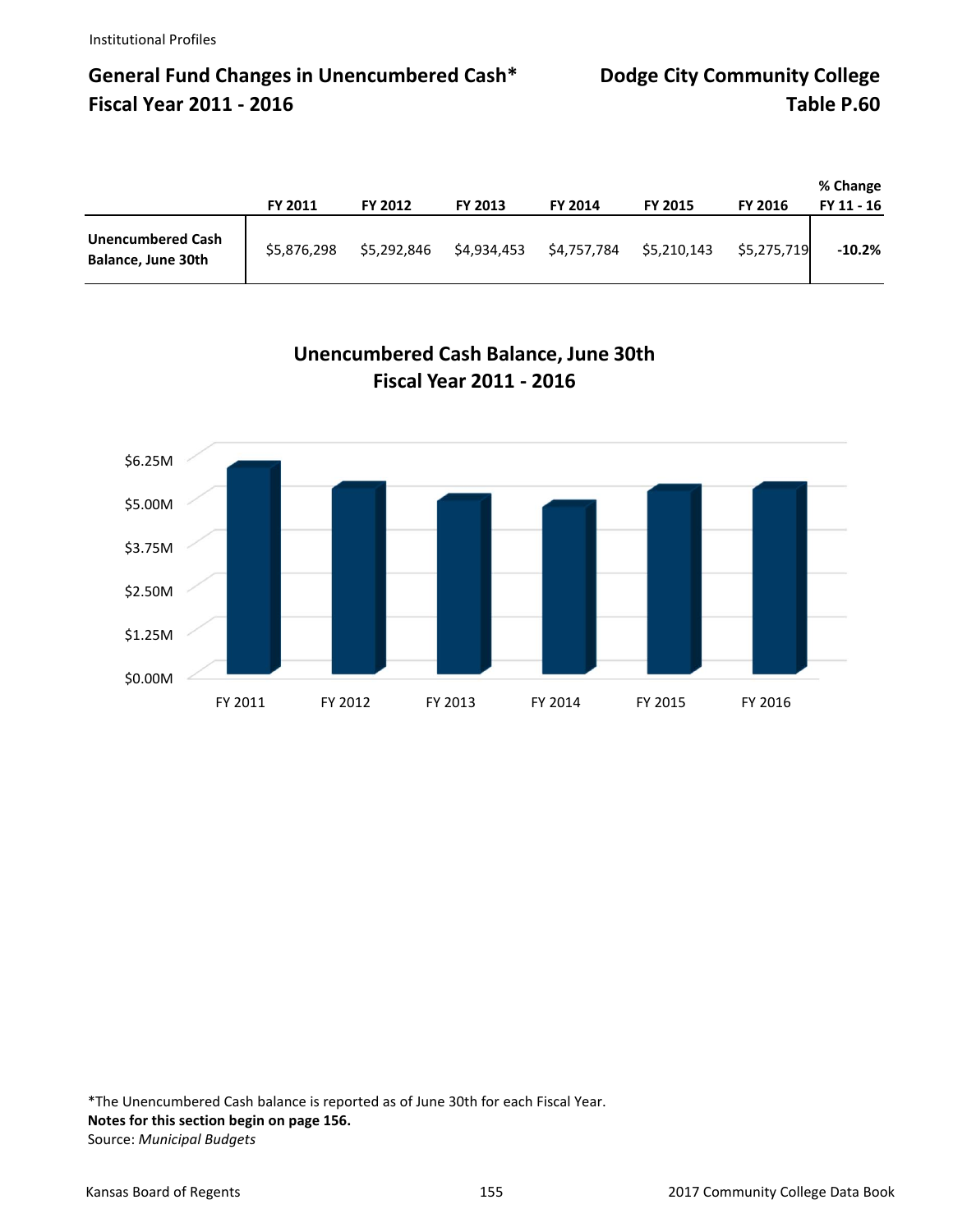# **General Fund Changes in Unencumbered Cash\* Dodge City Community College Fiscal Year 2011 ‐ 2016 Table P.60**

|                                                | <b>FY 2011</b> | <b>FY 2012</b> | FY 2013     | FY 2014     | <b>FY 2015</b> | <b>FY 2016</b> | % Change<br>FY 11 - 16 |
|------------------------------------------------|----------------|----------------|-------------|-------------|----------------|----------------|------------------------|
| <b>Unencumbered Cash</b><br>Balance, June 30th | \$5,876,298    | \$5,292,846    | \$4,934,453 | \$4,757,784 | \$5,210,143    | \$5,275,719    | $-10.2%$               |



**Unencumbered Cash Balance, June 30th Fiscal Year 2011 ‐ 2016**

\*The Unencumbered Cash balance is reported as of June 30th for each Fiscal Year. **Notes for this section begin on page 156.** Source: *Municipal Budgets*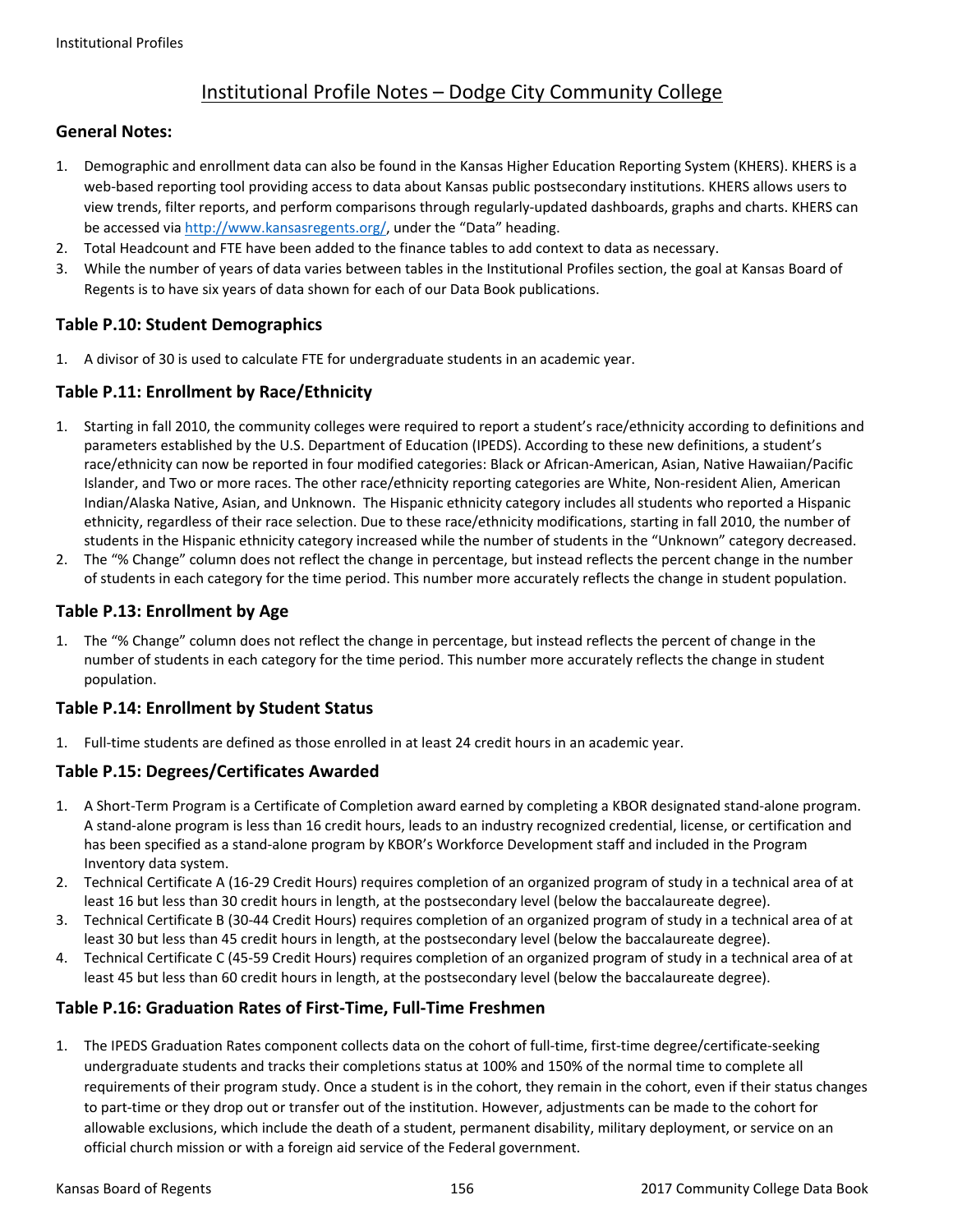## Institutional Profile Notes – Dodge City Community College

## **General Notes:**

- 1. Demographic and enrollment data can also be found in the Kansas Higher Education Reporting System (KHERS). KHERS is a web-based reporting tool providing access to data about Kansas public postsecondary institutions. KHERS allows users to view trends, filter reports, and perform comparisons through regularly‐updated dashboards, graphs and charts. KHERS can be accessed via http://www.kansasregents.org/, under the "Data" heading.
- 2. Total Headcount and FTE have been added to the finance tables to add context to data as necessary.
- 3. While the number of years of data varies between tables in the Institutional Profiles section, the goal at Kansas Board of Regents is to have six years of data shown for each of our Data Book publications.

## **Table P.10: Student Demographics**

1. A divisor of 30 is used to calculate FTE for undergraduate students in an academic year.

## **Table P.11: Enrollment by Race/Ethnicity**

- 1. Starting in fall 2010, the community colleges were required to report a student's race/ethnicity according to definitions and parameters established by the U.S. Department of Education (IPEDS). According to these new definitions, a student's race/ethnicity can now be reported in four modified categories: Black or African‐American, Asian, Native Hawaiian/Pacific Islander, and Two or more races. The other race/ethnicity reporting categories are White, Non‐resident Alien, American Indian/Alaska Native, Asian, and Unknown. The Hispanic ethnicity category includes all students who reported a Hispanic ethnicity, regardless of their race selection. Due to these race/ethnicity modifications, starting in fall 2010, the number of students in the Hispanic ethnicity category increased while the number of students in the "Unknown" category decreased.
- 2. The "% Change" column does not reflect the change in percentage, but instead reflects the percent change in the number of students in each category for the time period. This number more accurately reflects the change in student population.

## **Table P.13: Enrollment by Age**

1. The "% Change" column does not reflect the change in percentage, but instead reflects the percent of change in the number of students in each category for the time period. This number more accurately reflects the change in student population.

## **Table P.14: Enrollment by Student Status**

1. Full-time students are defined as those enrolled in at least 24 credit hours in an academic year.

## **Table P.15: Degrees/Certificates Awarded**

- 1. A Short‐Term Program is a Certificate of Completion award earned by completing a KBOR designated stand‐alone program. A stand‐alone program is less than 16 credit hours, leads to an industry recognized credential, license, or certification and has been specified as a stand‐alone program by KBOR's Workforce Development staff and included in the Program Inventory data system.
- 2. Technical Certificate A (16‐29 Credit Hours) requires completion of an organized program of study in a technical area of at least 16 but less than 30 credit hours in length, at the postsecondary level (below the baccalaureate degree).
- 3. Technical Certificate B (30‐44 Credit Hours) requires completion of an organized program of study in a technical area of at least 30 but less than 45 credit hours in length, at the postsecondary level (below the baccalaureate degree).
- 4. Technical Certificate C (45‐59 Credit Hours) requires completion of an organized program of study in a technical area of at least 45 but less than 60 credit hours in length, at the postsecondary level (below the baccalaureate degree).

## **Table P.16: Graduation Rates of First‐Time, Full‐Time Freshmen**

1. The IPEDS Graduation Rates component collects data on the cohort of full‐time, first‐time degree/certificate‐seeking undergraduate students and tracks their completions status at 100% and 150% of the normal time to complete all requirements of their program study. Once a student is in the cohort, they remain in the cohort, even if their status changes to part-time or they drop out or transfer out of the institution. However, adjustments can be made to the cohort for allowable exclusions, which include the death of a student, permanent disability, military deployment, or service on an official church mission or with a foreign aid service of the Federal government.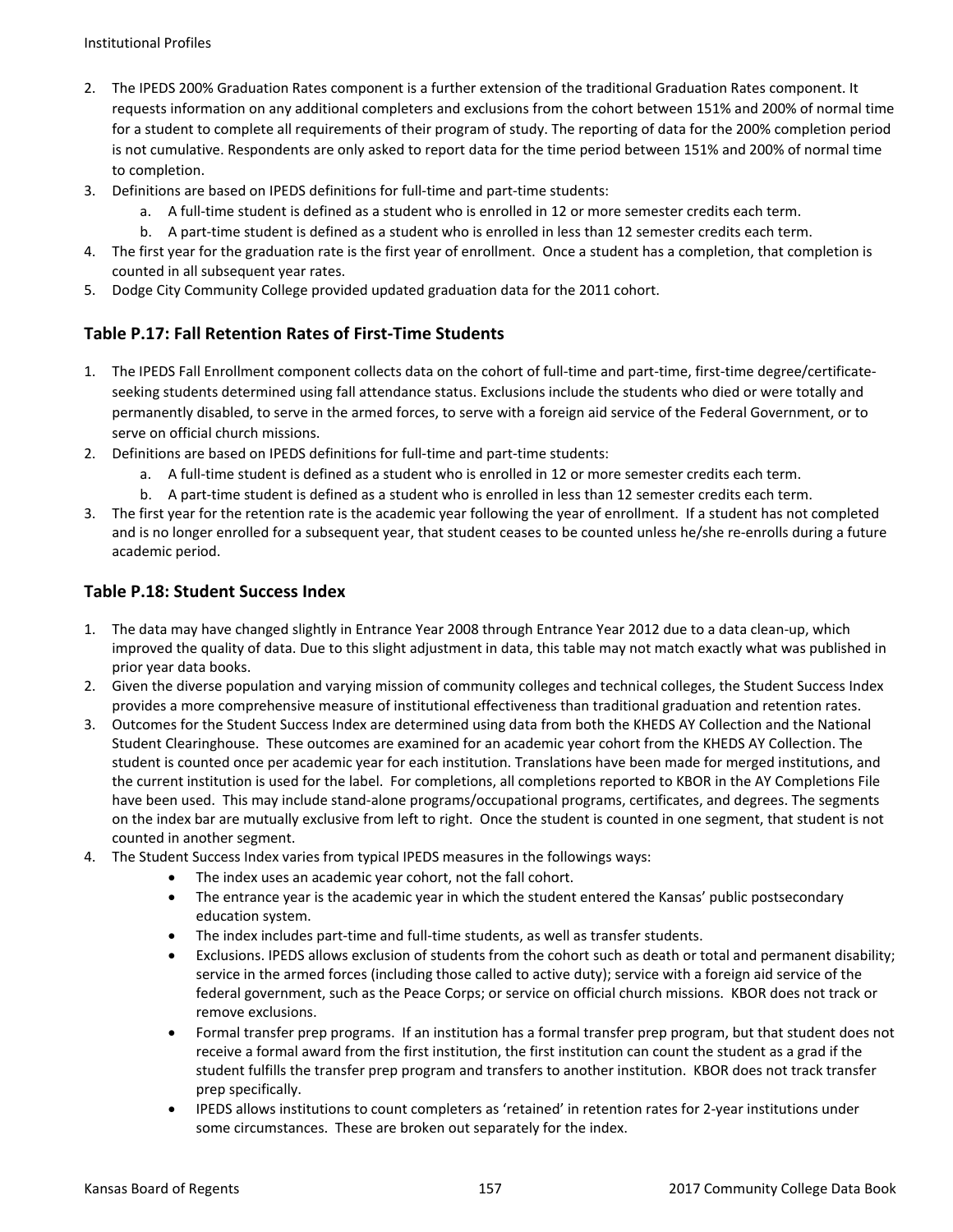- 2. The IPEDS 200% Graduation Rates component is a further extension of the traditional Graduation Rates component. It requests information on any additional completers and exclusions from the cohort between 151% and 200% of normal time for a student to complete all requirements of their program of study. The reporting of data for the 200% completion period is not cumulative. Respondents are only asked to report data for the time period between 151% and 200% of normal time to completion.
- 3. Definitions are based on IPEDS definitions for full-time and part-time students:
	- a. A full-time student is defined as a student who is enrolled in 12 or more semester credits each term.
	- b. A part-time student is defined as a student who is enrolled in less than 12 semester credits each term.
- 4. The first year for the graduation rate is the first year of enrollment. Once a student has a completion, that completion is counted in all subsequent year rates.
- 5. Dodge City Community College provided updated graduation data for the 2011 cohort.

## **Table P.17: Fall Retention Rates of First‐Time Students**

- 1. The IPEDS Fall Enrollment component collects data on the cohort of full-time and part-time, first-time degree/certificateseeking students determined using fall attendance status. Exclusions include the students who died or were totally and permanently disabled, to serve in the armed forces, to serve with a foreign aid service of the Federal Government, or to serve on official church missions.
- 2. Definitions are based on IPEDS definitions for full-time and part-time students:
	- a. A full-time student is defined as a student who is enrolled in 12 or more semester credits each term.
	- b. A part-time student is defined as a student who is enrolled in less than 12 semester credits each term.
- 3. The first year for the retention rate is the academic year following the year of enrollment. If a student has not completed and is no longer enrolled for a subsequent year, that student ceases to be counted unless he/she re-enrolls during a future academic period.

## **Table P.18: Student Success Index**

- 1. The data may have changed slightly in Entrance Year 2008 through Entrance Year 2012 due to a data clean‐up, which improved the quality of data. Due to this slight adjustment in data, this table may not match exactly what was published in prior year data books.
- 2. Given the diverse population and varying mission of community colleges and technical colleges, the Student Success Index provides a more comprehensive measure of institutional effectiveness than traditional graduation and retention rates.
- 3. Outcomes for the Student Success Index are determined using data from both the KHEDS AY Collection and the National Student Clearinghouse. These outcomes are examined for an academic year cohort from the KHEDS AY Collection. The student is counted once per academic year for each institution. Translations have been made for merged institutions, and the current institution is used for the label. For completions, all completions reported to KBOR in the AY Completions File have been used. This may include stand-alone programs/occupational programs, certificates, and degrees. The segments on the index bar are mutually exclusive from left to right. Once the student is counted in one segment, that student is not counted in another segment.
- 4. The Student Success Index varies from typical IPEDS measures in the followings ways:
	- The index uses an academic year cohort, not the fall cohort.
	- The entrance year is the academic year in which the student entered the Kansas' public postsecondary education system.
	- The index includes part‐time and full‐time students, as well as transfer students.
	- Exclusions. IPEDS allows exclusion of students from the cohort such as death or total and permanent disability; service in the armed forces (including those called to active duty); service with a foreign aid service of the federal government, such as the Peace Corps; or service on official church missions. KBOR does not track or remove exclusions.
	- Formal transfer prep programs. If an institution has a formal transfer prep program, but that student does not receive a formal award from the first institution, the first institution can count the student as a grad if the student fulfills the transfer prep program and transfers to another institution. KBOR does not track transfer prep specifically.
	- IPEDS allows institutions to count completers as 'retained' in retention rates for 2‐year institutions under some circumstances. These are broken out separately for the index.